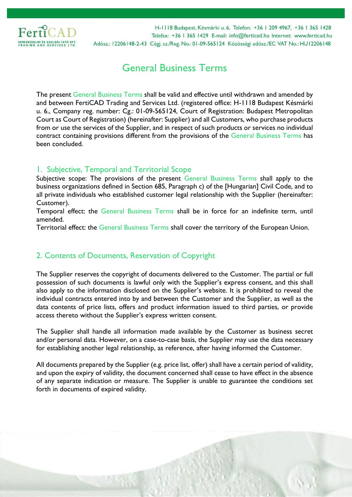

# General Business Terms

The present General Business Terms shall be valid and effective until withdrawn and amended by and between FertiCAD Trading and Services Ltd. (registered office: H-1118 Budapest Késmárki u. 6., Company reg. number: Cg.: 01-09-565124, Court of Registration: Budapest Metropolitan Court as Court of Registration) (hereinafter: Supplier) and all Customers, who purchase products from or use the services of the Supplier, and in respect of such products or services no individual contract containing provisions different from the provisions of the General Business Terms has been concluded.

## 1. Subjective, Temporal and Territorial Scope

Subjective scope: The provisions of the present General Business Terms shall apply to the business organizations defined in Section 685, Paragraph c) of the [Hungarian] Civil Code, and to all private individuals who established customer legal relationship with the Supplier (hereinafter: Customer).

Temporal effect: the General Business Terms shall be in force for an indefinite term, until amended.

Territorial effect: the General Business Terms shall cover the territory of the European Union.

# 2. Contents of Documents, Reservation of Copyright

The Supplier reserves the copyright of documents delivered to the Customer. The partial or full possession of such documents is lawful only with the Supplier's express consent, and this shall also apply to the information disclosed on the Supplier's website. It is prohibited to reveal the individual contracts entered into by and between the Customer and the Supplier, as well as the data contents of price lists, offers and product information issued to third parties, or provide access thereto without the Supplier's express written consent.

The Supplier shall handle all information made available by the Customer as business secret and/or personal data. However, on a case-to-case basis, the Supplier may use the data necessary for establishing another legal relationship, as reference, after having informed the Customer.

All documents prepared by the Supplier (e.g. price list, offer) shall have a certain period of validity, and upon the expiry of validity, the document concerned shall cease to have effect in the absence of any separate indication or measure. The Supplier is unable to guarantee the conditions set forth in documents of expired validity.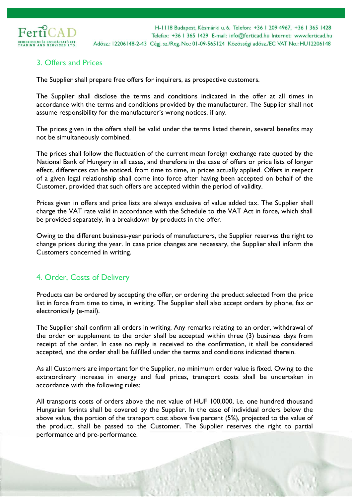

## 3. Offers and Prices

The Supplier shall prepare free offers for inquirers, as prospective customers.

The Supplier shall disclose the terms and conditions indicated in the offer at all times in accordance with the terms and conditions provided by the manufacturer. The Supplier shall not assume responsibility for the manufacturer's wrong notices, if any.

The prices given in the offers shall be valid under the terms listed therein, several benefits may not be simultaneously combined.

The prices shall follow the fluctuation of the current mean foreign exchange rate quoted by the National Bank of Hungary in all cases, and therefore in the case of offers or price lists of longer effect, differences can be noticed, from time to time, in prices actually applied. Offers in respect of a given legal relationship shall come into force after having been accepted on behalf of the Customer, provided that such offers are accepted within the period of validity.

Prices given in offers and price lists are always exclusive of value added tax. The Supplier shall charge the VAT rate valid in accordance with the Schedule to the VAT Act in force, which shall be provided separately, in a breakdown by products in the offer.

Owing to the different business-year periods of manufacturers, the Supplier reserves the right to change prices during the year. In case price changes are necessary, the Supplier shall inform the Customers concerned in writing.

#### 4. Order, Costs of Delivery

Products can be ordered by accepting the offer, or ordering the product selected from the price list in force from time to time, in writing. The Supplier shall also accept orders by phone, fax or electronically (e-mail).

The Supplier shall confirm all orders in writing. Any remarks relating to an order, withdrawal of the order or supplement to the order shall be accepted within three (3) business days from receipt of the order. In case no reply is received to the confirmation, it shall be considered accepted, and the order shall be fulfilled under the terms and conditions indicated therein.

As all Customers are important for the Supplier, no minimum order value is fixed. Owing to the extraordinary increase in energy and fuel prices, transport costs shall be undertaken in accordance with the following rules:

All transports costs of orders above the net value of HUF 100,000, i.e. one hundred thousand Hungarian forints shall be covered by the Supplier. In the case of individual orders below the above value, the portion of the transport cost above five percent (5%), projected to the value of the product, shall be passed to the Customer. The Supplier reserves the right to partial performance and pre-performance.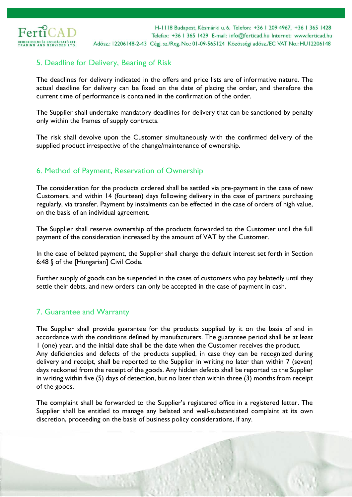

## 5. Deadline for Delivery, Bearing of Risk

The deadlines for delivery indicated in the offers and price lists are of informative nature. The actual deadline for delivery can be fixed on the date of placing the order, and therefore the current time of performance is contained in the confirmation of the order.

The Supplier shall undertake mandatory deadlines for delivery that can be sanctioned by penalty only within the frames of supply contracts.

The risk shall devolve upon the Customer simultaneously with the confirmed delivery of the supplied product irrespective of the change/maintenance of ownership.

# 6. Method of Payment, Reservation of Ownership

The consideration for the products ordered shall be settled via pre-payment in the case of new Customers, and within 14 (fourteen) days following delivery in the case of partners purchasing regularly, via transfer. Payment by instalments can be effected in the case of orders of high value, on the basis of an individual agreement.

The Supplier shall reserve ownership of the products forwarded to the Customer until the full payment of the consideration increased by the amount of VAT by the Customer.

In the case of belated payment, the Supplier shall charge the default interest set forth in Section 6:48 § of the [Hungarian] Civil Code.

Further supply of goods can be suspended in the cases of customers who pay belatedly until they settle their debts, and new orders can only be accepted in the case of payment in cash.

#### 7. Guarantee and Warranty

The Supplier shall provide guarantee for the products supplied by it on the basis of and in accordance with the conditions defined by manufacturers. The guarantee period shall be at least 1 (one) year, and the initial date shall be the date when the Customer receives the product. Any deficiencies and defects of the products supplied, in case they can be recognized during delivery and receipt, shall be reported to the Supplier in writing no later than within 7 (seven) days reckoned from the receipt of the goods. Any hidden defects shall be reported to the Supplier in writing within five (5) days of detection, but no later than within three (3) months from receipt of the goods.

The complaint shall be forwarded to the Supplier's registered office in a registered letter. The Supplier shall be entitled to manage any belated and well-substantiated complaint at its own discretion, proceeding on the basis of business policy considerations, if any.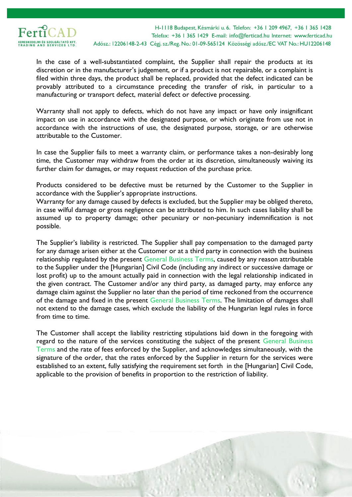

In the case of a well-substantiated complaint, the Supplier shall repair the products at its discretion or in the manufacturer's judgement, or if a product is not repairable, or a complaint is filed within three days, the product shall be replaced, provided that the defect indicated can be provably attributed to a circumstance preceding the transfer of risk, in particular to a manufacturing or transport defect, material defect or defective processing.

Warranty shall not apply to defects, which do not have any impact or have only insignificant impact on use in accordance with the designated purpose, or which originate from use not in accordance with the instructions of use, the designated purpose, storage, or are otherwise attributable to the Customer.

In case the Supplier fails to meet a warranty claim, or performance takes a non-desirably long time, the Customer may withdraw from the order at its discretion, simultaneously waiving its further claim for damages, or may request reduction of the purchase price.

Products considered to be defective must be returned by the Customer to the Supplier in accordance with the Supplier's appropriate instructions.

Warranty for any damage caused by defects is excluded, but the Supplier may be obliged thereto, in case wilful damage or gross negligence can be attributed to him. In such cases liability shall be assumed up to property damage; other pecuniary or non-pecuniary indemnification is not possible.

The Supplier's liability is restricted. The Supplier shall pay compensation to the damaged party for any damage arisen either at the Customer or at a third party in connection with the business relationship regulated by the present General Business Terms, caused by any reason attributable to the Supplier under the [Hungarian] Civil Code (including any indirect or successive damage or lost profit) up to the amount actually paid in connection with the legal relationship indicated in the given contract. The Customer and/or any third party, as damaged party, may enforce any damage claim against the Supplier no later than the period of time reckoned from the occurrence of the damage and fixed in the present General Business Terms. The limitation of damages shall not extend to the damage cases, which exclude the liability of the Hungarian legal rules in force from time to time.

The Customer shall accept the liability restricting stipulations laid down in the foregoing with regard to the nature of the services constituting the subject of the present General Business Terms and the rate of fees enforced by the Supplier, and acknowledges simultaneously, with the signature of the order, that the rates enforced by the Supplier in return for the services were established to an extent, fully satisfying the requirement set forth in the [Hungarian] Civil Code, applicable to the provision of benefits in proportion to the restriction of liability.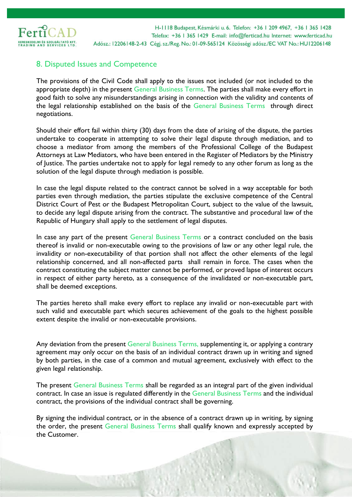

## 8. Disputed Issues and Competence

The provisions of the Civil Code shall apply to the issues not included (or not included to the appropriate depth) in the present General Business Terms. The parties shall make every effort in good faith to solve any misunderstandings arising in connection with the validity and contents of the legal relationship established on the basis of the General Business Terms through direct negotiations.

Should their effort fail within thirty (30) days from the date of arising of the dispute, the parties undertake to cooperate in attempting to solve their legal dispute through mediation, and to choose a mediator from among the members of the Professional College of the Budapest Attorneys at Law Mediators, who have been entered in the Register of Mediators by the Ministry of Justice. The parties undertake not to apply for legal remedy to any other forum as long as the solution of the legal dispute through mediation is possible.

In case the legal dispute related to the contract cannot be solved in a way acceptable for both parties even through mediation, the parties stipulate the exclusive competence of the Central District Court of Pest or the Budapest Metropolitan Court, subject to the value of the lawsuit, to decide any legal dispute arising from the contract. The substantive and procedural law of the Republic of Hungary shall apply to the settlement of legal disputes.

In case any part of the present General Business Terms or a contract concluded on the basis thereof is invalid or non-executable owing to the provisions of law or any other legal rule, the invalidity or non-executability of that portion shall not affect the other elements of the legal relationship concerned, and all non-affected parts shall remain in force. The cases when the contract constituting the subject matter cannot be performed, or proved lapse of interest occurs in respect of either party hereto, as a consequence of the invalidated or non-executable part, shall be deemed exceptions.

The parties hereto shall make every effort to replace any invalid or non-executable part with such valid and executable part which secures achievement of the goals to the highest possible extent despite the invalid or non-executable provisions.

Any deviation from the present General Business Terms, supplementing it, or applying a contrary agreement may only occur on the basis of an individual contract drawn up in writing and signed by both parties, in the case of a common and mutual agreement, exclusively with effect to the given legal relationship.

The present General Business Terms shall be regarded as an integral part of the given individual contract. In case an issue is regulated differently in the General Business Terms and the individual contract, the provisions of the individual contract shall be governing.

By signing the individual contract, or in the absence of a contract drawn up in writing, by signing the order, the present General Business Terms shall qualify known and expressly accepted by the Customer.